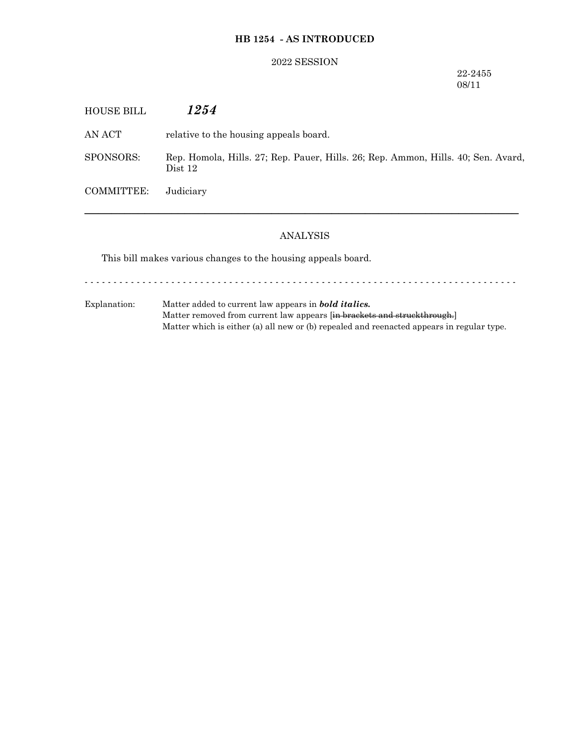### **HB 1254 - AS INTRODUCED**

#### 2022 SESSION

#### 22-2455 08/11

| <b>HOUSE BILL</b> | 1254                                                                                         |
|-------------------|----------------------------------------------------------------------------------------------|
| AN ACT            | relative to the housing appeals board.                                                       |
| SPONSORS:         | Rep. Homola, Hills. 27; Rep. Pauer, Hills. 26; Rep. Ammon, Hills. 40; Sen. Avard,<br>Dist 12 |
| <b>COMMITTEE:</b> | Judiciary                                                                                    |
|                   |                                                                                              |

## ANALYSIS

This bill makes various changes to the housing appeals board.

- - - - - - - - - - - - - - - - - - - - - - - - - - - - - - - - - - - - - - - - - - - - - - - - - - - - - - - - - - - - - - - - - - - - - - - - - - -

Explanation: Matter added to current law appears in *bold italics.* Matter removed from current law appears [in brackets and struckthrough.] Matter which is either (a) all new or (b) repealed and reenacted appears in regular type.